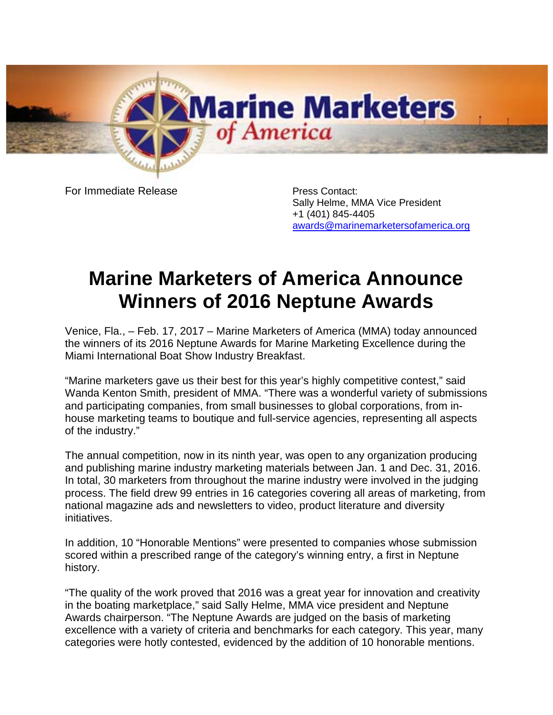

For Immediate Release **Press Contact:** 

Sally Helme, MMA Vice President +1 (401) 845-4405 [awards@marinemarketersofamerica.org](mailto:awards@marinemarketersofamerica.org)

## **Marine Marketers of America Announce Winners of 2016 Neptune Awards**

Venice, Fla., – Feb. 17, 2017 – Marine Marketers of America (MMA) today announced the winners of its 2016 Neptune Awards for Marine Marketing Excellence during the Miami International Boat Show Industry Breakfast.

"Marine marketers gave us their best for this year's highly competitive contest," said Wanda Kenton Smith, president of MMA. "There was a wonderful variety of submissions and participating companies, from small businesses to global corporations, from inhouse marketing teams to boutique and full-service agencies, representing all aspects of the industry."

The annual competition, now in its ninth year, was open to any organization producing and publishing marine industry marketing materials between Jan. 1 and Dec. 31, 2016. In total, 30 marketers from throughout the marine industry were involved in the judging process. The field drew 99 entries in 16 categories covering all areas of marketing, from national magazine ads and newsletters to video, product literature and diversity initiatives.

In addition, 10 "Honorable Mentions" were presented to companies whose submission scored within a prescribed range of the category's winning entry, a first in Neptune history.

"The quality of the work proved that 2016 was a great year for innovation and creativity in the boating marketplace," said Sally Helme, MMA vice president and Neptune Awards chairperson. "The Neptune Awards are judged on the basis of marketing excellence with a variety of criteria and benchmarks for each category. This year, many categories were hotly contested, evidenced by the addition of 10 honorable mentions.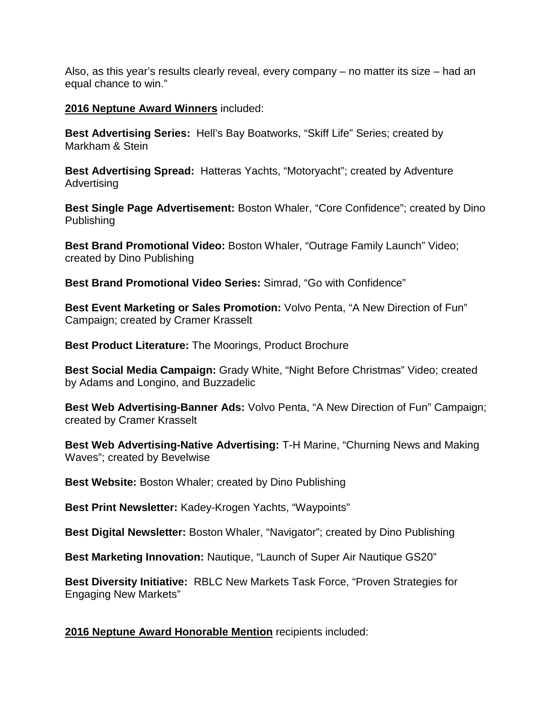Also, as this year's results clearly reveal, every company – no matter its size – had an equal chance to win."

## **2016 Neptune Award Winners** included:

**Best Advertising Series:** Hell's Bay Boatworks, "Skiff Life" Series; created by Markham & Stein

**Best Advertising Spread:** Hatteras Yachts, "Motoryacht"; created by Adventure Advertising

**Best Single Page Advertisement:** Boston Whaler, "Core Confidence"; created by Dino Publishing

**Best Brand Promotional Video:** Boston Whaler, "Outrage Family Launch" Video; created by Dino Publishing

**Best Brand Promotional Video Series:** Simrad, "Go with Confidence"

**Best Event Marketing or Sales Promotion:** Volvo Penta, "A New Direction of Fun" Campaign; created by Cramer Krasselt

**Best Product Literature:** The Moorings, Product Brochure

**Best Social Media Campaign:** Grady White, "Night Before Christmas" Video; created by Adams and Longino, and Buzzadelic

**Best Web Advertising-Banner Ads:** Volvo Penta, "A New Direction of Fun" Campaign; created by Cramer Krasselt

**Best Web Advertising-Native Advertising:** T-H Marine, "Churning News and Making Waves"; created by Bevelwise

**Best Website:** Boston Whaler; created by Dino Publishing

**Best Print Newsletter:** Kadey-Krogen Yachts, "Waypoints"

**Best Digital Newsletter:** Boston Whaler, "Navigator"; created by Dino Publishing

**Best Marketing Innovation:** Nautique, "Launch of Super Air Nautique GS20"

**Best Diversity Initiative:** RBLC New Markets Task Force, "Proven Strategies for Engaging New Markets"

**2016 Neptune Award Honorable Mention** recipients included: